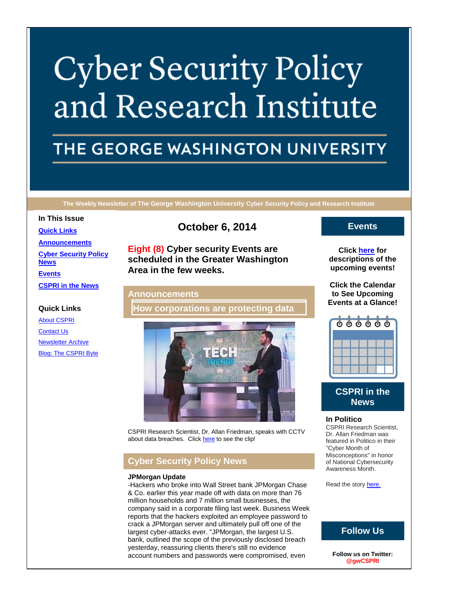# **Cyber Security Policy** and Research Institute

# THE GEORGE WASHINGTON UNIVERSITY

**The Weekly Newsletter of The George Washington University Cyber Security Policy and Research Institute**

# **In This Issue**

**[Quick Links](https://mail.google.com/mail/u/0/#148e6834b44a0a6c_LETTER.BLOCK5) [Announcements](https://mail.google.com/mail/u/0/#148e6834b44a0a6c_LETTER.BLOCK18) [Cyber Security Policy](https://mail.google.com/mail/u/0/#148e6834b44a0a6c_LETTER.BLOCK26)  [News](https://mail.google.com/mail/u/0/#148e6834b44a0a6c_LETTER.BLOCK26) [Events](https://mail.google.com/mail/u/0/#148e6834b44a0a6c_LETTER.BLOCK30) [CSPRI in the News](https://mail.google.com/mail/u/0/#148e6834b44a0a6c_LETTER.BLOCK33)**

# **Quick Links**

[About CSPRI](http://r20.rs6.net/tn.jsp?e=001BboyfxuKTNM3nmCWYUjWJ8RdZUWY8tITRakrnl2S6ADAsNUxAhUtpcSeNAkxsFKNZlH5ZMV35qU4M9ezkGtLIFEyC9KUvnFoGjHvIAORONFodohNF4ot3WGHxVoE3EKc) [Contact Us](http://r20.rs6.net/tn.jsp?e=001BboyfxuKTNM3nmCWYUjWJ8RdZUWY8tITRakrnl2S6ADAsNUxAhUtpcSeNAkxsFKNZlH5ZMV35qU4M9ezkGtLIFEyC9KUvnFoGjHvIAORONEdoc0T0j4eNvCuyXpCf38Ec79MNL26Tjs=) [Newsletter Archive](http://r20.rs6.net/tn.jsp?e=001BboyfxuKTNM3nmCWYUjWJ8RdZUWY8tITRakrnl2S6ADAsNUxAhUtpcSeNAkxsFKNZlH5ZMV35qU4M9ezkGtLIFEyC9KUvnFoGjHvIAORONHFKdoB2j8Lwg754ZpkyY0EfgzDC-G9GUA=) [Blog: The CSPRI Byte](http://r20.rs6.net/tn.jsp?e=001BboyfxuKTNM3nmCWYUjWJ8RdZUWY8tITRakrnl2S6ADAsNUxAhUtpcSeNAkxsFKNZlH5ZMV35qU4M9ezkGtLIFEyC9KUvnFoGjHvIAORONHd4-_1dCEkRQLBACMqGGbW)

# **October 6, 2014**

**Eight (8) Cyber security Events are scheduled in the Greater Washington Area in the few weeks.**

# **Announcements**

**How corporations are protecting data**



CSPRI Research Scientist, Dr. Allan Friedman, speaks with CCTV about data breaches. Clic[k here](https://www.youtube.com/watch?v=APAAkYdNqaY&feature=youtu.be) to see the clip!

# **Cyber Security Policy News**

### **JPMorgan Update**

-Hackers who broke into Wall Street bank JPMorgan Chase & Co. earlier this year made off with data on more than 76 million households and 7 million small businesses, the company said in a corporate filing last week. Business Week reports that the hackers exploited an employee password to crack a JPMorgan server and ultimately pull off one of the largest cyber-attacks ever. "JPMorgan, the largest U.S. bank, outlined the scope of the previously disclosed breach yesterday, reassuring clients there's still no evidence account numbers and passwords were compromised, even

# **Events**

**Click [here](http://r20.rs6.net/tn.jsp?e=001BboyfxuKTNM3nmCWYUjWJ8RdZUWY8tITRakrnl2S6ADAsNUxAhUtpcSeNAkxsFKNZlH5ZMV35qU4M9ezkGtLIFEyC9KUvnFoGjHvIAORONFWSctQCb02OF5jvf1IZSv1-8bmFOfaTXWgYkg-JdtMPA==) for descriptions of the upcoming events!**

**Click the Calendar to See Upcoming Events at a Glance!**



# **CSPRI in the News**

## **In Politico**

CSPRI Research Scientist, Dr. Allan Friedman was featured in Politico in their "Cyber Month of Misconceptions" in honor of National Cybersecurity Awareness Month.

Read the story [here.](http://r20.rs6.net/tn.jsp?e=001BboyfxuKTNM3nmCWYUjWJ8RdZUWY8tITRakrnl2S6ADAsNUxAhUtpcSeNAkxsFKNZlH5ZMV35qWjbguaP2IGKWZ64j5EWpVxySO-QaEuJMyCSBCRJplZ2GUGTQsVV2ZeRzMxkPO3U5rD6JB7-l9mUo_mB7AewfRt2wJp0m1azjjI4FShM5UjlLiSLH2YaKS5UVRQ401M-oE=)

# **Follow Us**

**Follow us on Twitter: @gwCSPRI**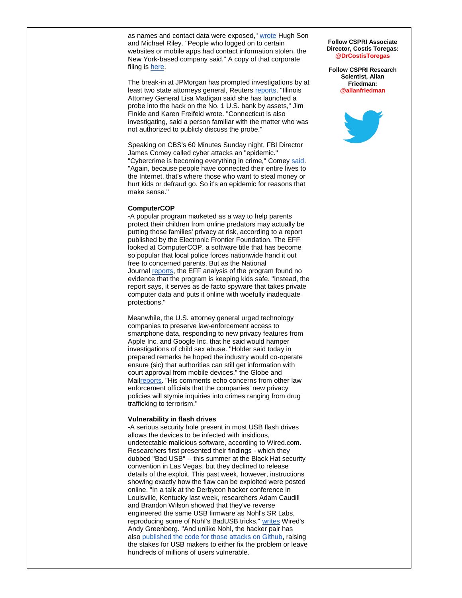as names and contact data were exposed," [wrote](http://r20.rs6.net/tn.jsp?e=001BboyfxuKTNM3nmCWYUjWJ8RdZUWY8tITRakrnl2S6ADAsNUxAhUtpcSeNAkxsFKNZlH5ZMV35qUOVGVtFiqptMDSkUVYrDVe0L_z5Y6L0jE9-yPvI6GL4dyZc8qZxl1bJfujE8dgSexk9kkPyKlRSgLsD4NDdPkYziSRzkLp_8toCd0AC710oigD6esNbPjmYruzSS7JIcXsmFQukGaCS4qfzMEeo-Ex) Hugh Son and Michael Riley. "People who logged on to certain websites or mobile apps had contact information stolen, the New York-based company said." A copy of that corporate filing is [here.](http://r20.rs6.net/tn.jsp?e=001BboyfxuKTNM3nmCWYUjWJ8RdZUWY8tITRakrnl2S6ADAsNUxAhUtpcSeNAkxsFKNZlH5ZMV35qXXUiraDXexIJrFNklvkMtk2tuSplOWbU2uwE0bOcnSw3NAHaAv8eASIao352MM8dUXE-M_RoGQ57cnz0t9Rbpz4pCZb-iGKG6OTIyF9KCRKGIOp5M1cB3-)

The break-in at JPMorgan has prompted investigations by at least two state attorneys general, Reuters [reports.](http://r20.rs6.net/tn.jsp?e=001BboyfxuKTNM3nmCWYUjWJ8RdZUWY8tITRakrnl2S6ADAsNUxAhUtpcSeNAkxsFKNZlH5ZMV35qVYQp2yYXEoANGwILsYkw9PdXL3MGqKhfr_-u9Cj1Hd4Vej7Ttqn238Kaa6vZnIPAdEURXpZndmkBgL8LXj80UsrlkOAtHu3CQjqYBDx2jashoUpy7fJFJihxn2_sV-tSQXU809QtkhyMxTyEvZBQdoEygidMSjr75tTyncpEMhSYcO-w4vYbngHOdmQoZHx48=) "Illinois Attorney General Lisa Madigan said she has launched a probe into the hack on the No. 1 U.S. bank by assets," Jim Finkle and Karen Freifeld wrote. "Connecticut is also investigating, said a person familiar with the matter who was not authorized to publicly discuss the probe."

Speaking on CBS's 60 Minutes Sunday night, FBI Director James Comey called cyber attacks an "epidemic." "Cybercrime is becoming everything in crime," Comey [said.](http://r20.rs6.net/tn.jsp?e=001BboyfxuKTNM3nmCWYUjWJ8RdZUWY8tITRakrnl2S6ADAsNUxAhUtpcSeNAkxsFKNZlH5ZMV35qXr2qD1sCunzvxWsAhude4VNlyC8A5Cx8BUFjAKeWf0UPvvqwpH4we7aDe8IeU08AXoNbKzyPnvZsTVwkYDE21Lh-5p6UxPlzcJiIwYh-LWtLwzB0imgccg) "Again, because people have connected their entire lives to the Internet, that's where those who want to steal money or hurt kids or defraud go. So it's an epidemic for reasons that make sense."

#### **ComputerCOP**

-A popular program marketed as a way to help parents protect their children from online predators may actually be putting those families' privacy at risk, according to a report published by the Electronic Frontier Foundation. The EFF looked at ComputerCOP, a software title that has become so popular that local police forces nationwide hand it out free to concerned parents. But as the National Journal [reports,](http://r20.rs6.net/tn.jsp?e=001BboyfxuKTNM3nmCWYUjWJ8RdZUWY8tITRakrnl2S6ADAsNUxAhUtpcSeNAkxsFKNZlH5ZMV35qWmQV7ohBW3oaVM_miTl8Rnapa-d95_qyc3moTyQUDFe8N1XbKIVCIbcp2n78HU2s3GLGUfIkBPFCLGKu1_i9y_NCcQaUHUGTejMuurObtcgCpg4r0XAGP98opMShi3OF5rZGQ3tytGQn_wrQnSi2NnbJLIYXvQDz56LJ3ZQnkMbjes6oLbrtK-m9B-vQ6KGU0=) the EFF analysis of the program found no evidence that the program is keeping kids safe. "Instead, the report says, it serves as de facto spyware that takes private computer data and puts it online with woefully inadequate protections."

Meanwhile, the U.S. attorney general urged technology companies to preserve law-enforcement access to smartphone data, responding to new privacy features from Apple Inc. and Google Inc. that he said would hamper investigations of child sex abuse. "Holder said today in prepared remarks he hoped the industry would co-operate ensure (sic) that authorities can still get information with court approval from mobile devices," the Globe and Mai[lreports.](http://r20.rs6.net/tn.jsp?e=001BboyfxuKTNM3nmCWYUjWJ8RdZUWY8tITRakrnl2S6ADAsNUxAhUtpcSeNAkxsFKNZlH5ZMV35qX19o3NP3G7hKv1647-cuqTbzDO-g-A9YDo8uUHVUscstEuhFGojEtXzybXc4d3Rx5xEsCZMXjUEnFB9AtlbJDH9_pYAx7zx3k2YpDejIJS6nKcvHDYsl0y9wYc46Y9lmADvdO8D89VozAhKH1XVv8j0as86DlmtDDRVovIfnK3BjvIvGTyrC8m) "His comments echo concerns from other law enforcement officials that the companies' new privacy policies will stymie inquiries into crimes ranging from drug trafficking to terrorism."

#### **Vulnerability in flash drives**

-A serious security hole present in most USB flash drives allows the devices to be infected with insidious, undetectable malicious software, according to Wired.com. Researchers first presented their findings - which they dubbed "Bad USB" -- this summer at the Black Hat security convention in Las Vegas, but they declined to release details of the exploit. This past week, however, instructions showing exactly how the flaw can be exploited were posted online. "In a talk at the Derbycon hacker conference in Louisville, Kentucky last week, researchers Adam Caudill and Brandon Wilson showed that they've reverse engineered the same USB firmware as Nohl's SR Labs, reproducing some of Nohl's BadUSB tricks," [writes](http://r20.rs6.net/tn.jsp?e=001BboyfxuKTNM3nmCWYUjWJ8RdZUWY8tITRakrnl2S6ADAsNUxAhUtpcSeNAkxsFKNZlH5ZMV35qWtBqqah2bmQhRDxWSdjoSlNB4x_BqpTh7AKDthY_KaDE8U4V6La1Vg-Cnnvzp0HMaCvDPjXYJ8EbCHKxwv021q_JKZOCHxnqTWeU6CcZx4LA==) Wired's Andy Greenberg. "And unlike Nohl, the hacker pair has also [published the code for those attacks on Github,](http://r20.rs6.net/tn.jsp?e=001BboyfxuKTNM3nmCWYUjWJ8RdZUWY8tITRakrnl2S6ADAsNUxAhUtpcSeNAkxsFKNQYRDd-fcqVKywFer7agSPuWJamYNERZSn1481t_Nim8m1h5II_o_OTykIH3nbuki) raising the stakes for USB makers to either fix the problem or leave hundreds of millions of users vulnerable.

#### **Follow CSPRI Associate Director, Costis Toregas: @DrCostisToregas**

**Follow CSPRI Research Scientist, Allan Friedman: @allanfriedman**